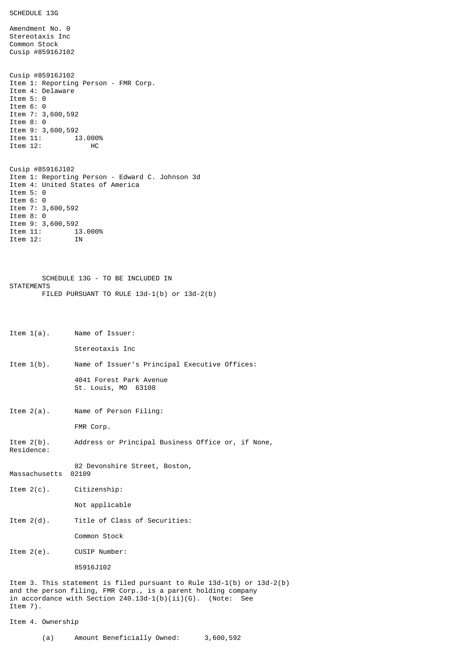```
SCHEDULE 13G
```
Amendment No. 0 Stereotaxis Inc Common Stock Cusip #85916J102 Cusip #85916J102 Item 1: Reporting Person - FMR Corp. Item 4: Delaware Item 5: 0 Item 6: 0 Item 7: 3,600,592 Item 8: 0 Item 9: 3,600,592<br>Item 11: 13.000%  $Item 11:$ Item 12: HC Cusip #85916J102 Item 1: Reporting Person - Edward C. Johnson 3d Item 4: United States of America Item 5: 0 Item 6: 0 Item 7: 3,600,592 Item 8: 0 Item 9: 3,600,592<br>Item 11: 1: 13.000%

SCHEDULE 13G - TO BE INCLUDED IN **STATEMENTS** FILED PURSUANT TO RULE 13d-1(b) or 13d-2(b)

```
Item 1(a). Name of Issuer:
```
Item 12: IN

Stereotaxis Inc

- Item 1(b). Name of Issuer's Principal Executive Offices:
	- 4041 Forest Park Avenue St. Louis, MO 63108
- Item 2(a). Name of Person Filing:

FMR Corp.

Item 2(b). Address or Principal Business Office or, if None, Residence:

82 Devonshire Street, Boston, Massachusetts 02109

Item 2(c). Citizenship:

Not applicable

Item 2(d). Title of Class of Securities:

Common Stock

Item 2(e). CUSIP Number:

85916J102

Item 3. This statement is filed pursuant to Rule 13d-1(b) or 13d-2(b) and the person filing, FMR Corp., is a parent holding company in accordance with Section 240.13d-1(b)(ii)(G). (Note: See Item 7).

```
Item 4. Ownership
```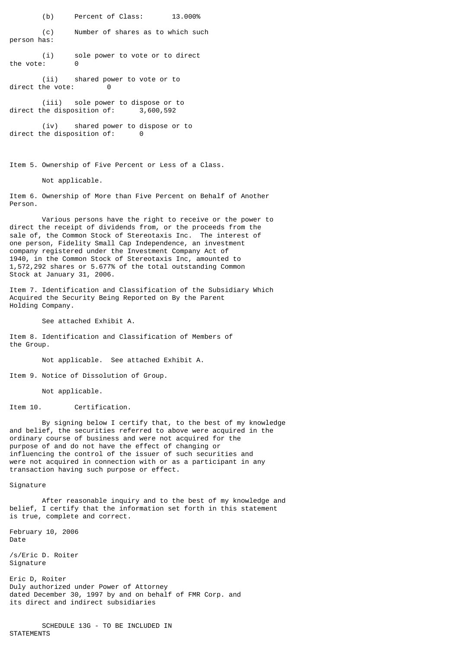(b) Percent of Class: 13.000%

(c) Number of shares as to which such person has:

(i) sole power to vote or to direct the vote: 0

 $(i)$  shared power to vote or to<br>he vote:  $0$ direct the vote:

(iii) sole power to dispose or to direct the disposition of: 3,600,592

(iv) shared power to dispose or to direct the disposition of: 0

Item 5. Ownership of Five Percent or Less of a Class.

Not applicable.

Item 6. Ownership of More than Five Percent on Behalf of Another Person.

Various persons have the right to receive or the power to direct the receipt of dividends from, or the proceeds from the sale of, the Common Stock of Stereotaxis Inc. The interest of one person, Fidelity Small Cap Independence, an investment company registered under the Investment Company Act of 1940, in the Common Stock of Stereotaxis Inc, amounted to 1,572,292 shares or 5.677% of the total outstanding Common Stock at January 31, 2006.

Item 7. Identification and Classification of the Subsidiary Which Acquired the Security Being Reported on By the Parent Holding Company.

See attached Exhibit A.

Item 8. Identification and Classification of Members of the Group.

Not applicable. See attached Exhibit A.

Item 9. Notice of Dissolution of Group.

Not applicable.

Item 10. Certification.

By signing below I certify that, to the best of my knowledge and belief, the securities referred to above were acquired in the ordinary course of business and were not acquired for the purpose of and do not have the effect of changing or influencing the control of the issuer of such securities and were not acquired in connection with or as a participant in any transaction having such purpose or effect.

Signature

After reasonable inquiry and to the best of my knowledge and belief, I certify that the information set forth in this statement is true, complete and correct.

February 10, 2006 Date

/s/Eric D. Roiter Signature

Eric D, Roiter Duly authorized under Power of Attorney dated December 30, 1997 by and on behalf of FMR Corp. and its direct and indirect subsidiaries

SCHEDULE 13G - TO BE INCLUDED IN **STATEMENTS**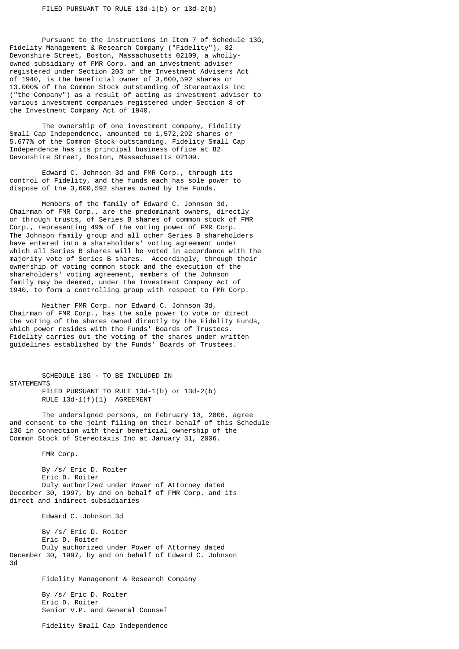Pursuant to the instructions in Item 7 of Schedule 13G, Fidelity Management & Research Company ("Fidelity"), 82 Devonshire Street, Boston, Massachusetts 02109, a whollyowned subsidiary of FMR Corp. and an investment adviser registered under Section 203 of the Investment Advisers Act of 1940, is the beneficial owner of 3,600,592 shares or 13.000% of the Common Stock outstanding of Stereotaxis Inc ("the Company") as a result of acting as investment adviser to various investment companies registered under Section 8 of the Investment Company Act of 1940.

The ownership of one investment company, Fidelity Small Cap Independence, amounted to 1,572,292 shares or 5.677% of the Common Stock outstanding. Fidelity Small Cap Independence has its principal business office at 82 Devonshire Street, Boston, Massachusetts 02109.

Edward C. Johnson 3d and FMR Corp., through its control of Fidelity, and the funds each has sole power to dispose of the 3,600,592 shares owned by the Funds.

Members of the family of Edward C. Johnson 3d, Chairman of FMR Corp., are the predominant owners, directly or through trusts, of Series B shares of common stock of FMR Corp., representing 49% of the voting power of FMR Corp. The Johnson family group and all other Series B shareholders have entered into a shareholders' voting agreement under which all Series B shares will be voted in accordance with the majority vote of Series B shares. Accordingly, through their ownership of voting common stock and the execution of the shareholders' voting agreement, members of the Johnson family may be deemed, under the Investment Company Act of 1940, to form a controlling group with respect to FMR Corp.

Neither FMR Corp. nor Edward C. Johnson 3d, Chairman of FMR Corp., has the sole power to vote or direct the voting of the shares owned directly by the Fidelity Funds, which power resides with the Funds' Boards of Trustees. Fidelity carries out the voting of the shares under written guidelines established by the Funds' Boards of Trustees.

SCHEDULE 13G - TO BE INCLUDED IN **STATEMENTS** FILED PURSUANT TO RULE 13d-1(b) or 13d-2(b) RULE 13d-1(f)(1) AGREEMENT

The undersigned persons, on February 10, 2006, agree and consent to the joint filing on their behalf of this Schedule 13G in connection with their beneficial ownership of the Common Stock of Stereotaxis Inc at January 31, 2006.

FMR Corp.

By /s/ Eric D. Roiter Eric D. Roiter Duly authorized under Power of Attorney dated December 30, 1997, by and on behalf of FMR Corp. and its direct and indirect subsidiaries

Edward C. Johnson 3d

By /s/ Eric D. Roiter Eric D. Roiter Duly authorized under Power of Attorney dated December 30, 1997, by and on behalf of Edward C. Johnson 3d

Fidelity Management & Research Company

By /s/ Eric D. Roiter Eric D. Roiter Senior V.P. and General Counsel

Fidelity Small Cap Independence